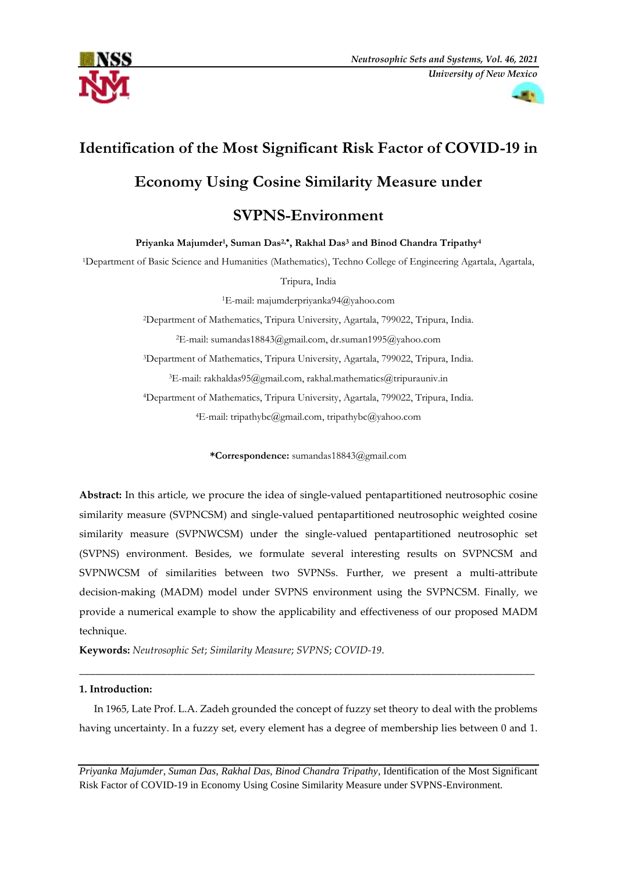



# **Identification of the Most Significant Risk Factor of COVID-19 in**

## **Economy Using Cosine Similarity Measure under**

### **SVPNS-Environment**

**Priyanka Majumder<sup>1</sup> , Suman Das2, , Rakhal Das<sup>3</sup> and Binod Chandra Tripathy<sup>4</sup>**

<sup>1</sup>Department of Basic Science and Humanities (Mathematics), Techno College of Engineering Agartala, Agartala,

Tripura, India

<sup>1</sup>E-mail: majumderpriyanka94@yahoo.com

<sup>2</sup>Department of Mathematics, Tripura University, Agartala, 799022, Tripura, India.

<sup>2</sup>E-mail[: sumandas18843@gmail.com,](mailto:sumandas18843@gmail.com) dr.suman1995@yahoo.com

<sup>3</sup>Department of Mathematics, Tripura University, Agartala, 799022, Tripura, India.

<sup>3</sup>E-mail[: rakhaldas95@gmail.com,](mailto:rakhaldas95@gmail.com) rakhal.mathematics@tripurauniv.in

<sup>4</sup>Department of Mathematics, Tripura University, Agartala, 799022, Tripura, India.

<sup>4</sup>E-mail[: tripathybc@gmail.com,](mailto:tripathybc@gmail.com) tripathybc@yahoo.com

**\*Correspondence:** sumandas18843@gmail.com

**Abstract:** In this article, we procure the idea of single-valued pentapartitioned neutrosophic cosine similarity measure (SVPNCSM) and single-valued pentapartitioned neutrosophic weighted cosine similarity measure (SVPNWCSM) under the single-valued pentapartitioned neutrosophic set (SVPNS) environment. Besides, we formulate several interesting results on SVPNCSM and SVPNWCSM of similarities between two SVPNSs. Further, we present a multi-attribute decision-making (MADM) model under SVPNS environment using the SVPNCSM. Finally, we provide a numerical example to show the applicability and effectiveness of our proposed MADM technique.

**Keywords:** *Neutrosophic Set*; *Similarity Measure*; *SVPNS*; *COVID-19*.

#### **1. Introduction:**

In 1965, Late Prof. L.A. Zadeh grounded the concept of fuzzy set theory to deal with the problems having uncertainty. In a fuzzy set, every element has a degree of membership lies between 0 and 1.

\_\_\_\_\_\_\_\_\_\_\_\_\_\_\_\_\_\_\_\_\_\_\_\_\_\_\_\_\_\_\_\_\_\_\_\_\_\_\_\_\_\_\_\_\_\_\_\_\_\_\_\_\_\_\_\_\_\_\_\_\_\_\_\_\_\_\_\_\_\_\_\_\_\_\_\_\_\_\_\_\_\_\_\_\_\_\_\_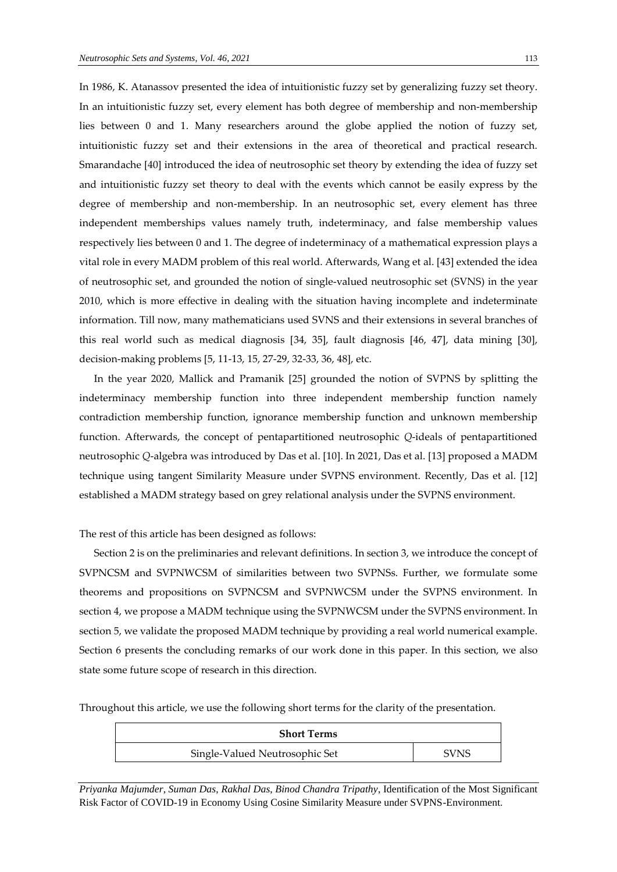In 1986, K. Atanassov presented the idea of intuitionistic fuzzy set by generalizing fuzzy set theory. In an intuitionistic fuzzy set, every element has both degree of membership and non-membership lies between 0 and 1. Many researchers around the globe applied the notion of fuzzy set, intuitionistic fuzzy set and their extensions in the area of theoretical and practical research. Smarandache [40] introduced the idea of neutrosophic set theory by extending the idea of fuzzy set and intuitionistic fuzzy set theory to deal with the events which cannot be easily express by the degree of membership and non-membership. In an neutrosophic set, every element has three independent memberships values namely truth, indeterminacy, and false membership values respectively lies between 0 and 1. The degree of indeterminacy of a mathematical expression plays a vital role in every MADM problem of this real world. Afterwards, Wang et al. [43] extended the idea of neutrosophic set, and grounded the notion of single-valued neutrosophic set (SVNS) in the year 2010, which is more effective in dealing with the situation having incomplete and indeterminate information. Till now, many mathematicians used SVNS and their extensions in several branches of this real world such as medical diagnosis [34, 35], fault diagnosis [46, 47], data mining [30], decision-making problems [5, 11-13, 15, 27-29, 32-33, 36, 48], etc.

In the year 2020, Mallick and Pramanik [25] grounded the notion of SVPNS by splitting the indeterminacy membership function into three independent membership function namely contradiction membership function, ignorance membership function and unknown membership function. Afterwards, the concept of pentapartitioned neutrosophic *Q*-ideals of pentapartitioned neutrosophic *Q*-algebra was introduced by Das et al. [10]. In 2021, Das et al. [13] proposed a MADM technique using tangent Similarity Measure under SVPNS environment. Recently, Das et al. [12] established a MADM strategy based on grey relational analysis under the SVPNS environment.

The rest of this article has been designed as follows:

Section 2 is on the preliminaries and relevant definitions. In section 3, we introduce the concept of SVPNCSM and SVPNWCSM of similarities between two SVPNSs. Further, we formulate some theorems and propositions on SVPNCSM and SVPNWCSM under the SVPNS environment. In section 4, we propose a MADM technique using the SVPNWCSM under the SVPNS environment. In section 5, we validate the proposed MADM technique by providing a real world numerical example. Section 6 presents the concluding remarks of our work done in this paper. In this section, we also state some future scope of research in this direction.

Throughout this article, we use the following short terms for the clarity of the presentation.

| <b>Short Terms</b>             |             |
|--------------------------------|-------------|
| Single-Valued Neutrosophic Set | <b>SVNS</b> |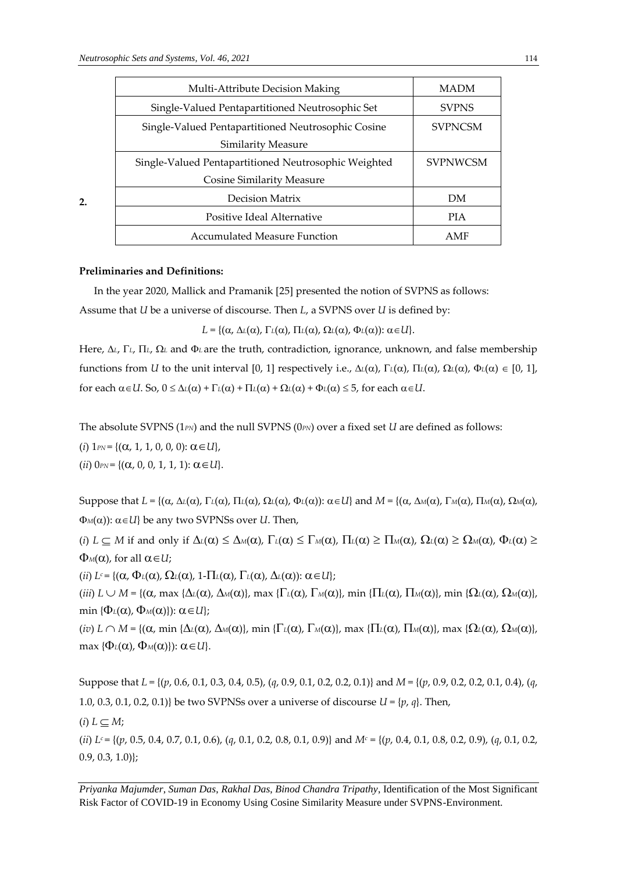| Multi-Attribute Decision Making                      | <b>MADM</b>     |
|------------------------------------------------------|-----------------|
| Single-Valued Pentapartitioned Neutrosophic Set      | <b>SVPNS</b>    |
| Single-Valued Pentapartitioned Neutrosophic Cosine   | <b>SVPNCSM</b>  |
| Similarity Measure                                   |                 |
| Single-Valued Pentapartitioned Neutrosophic Weighted | <b>SVPNWCSM</b> |
| <b>Cosine Similarity Measure</b>                     |                 |
| Decision Matrix                                      | DM              |
| Positive Ideal Alternative                           | <b>PIA</b>      |
| Accumulated Measure Function                         | AMF             |

#### **Preliminaries and Definitions:**

**2.** 

In the year 2020, Mallick and Pramanik [25] presented the notion of SVPNS as follows:

Assume that *U* be a universe of discourse. Then *L*, a SVPNS over *U* is defined by:

 $L = \{(\alpha, \Delta_L(\alpha), \Gamma_L(\alpha), \Pi_L(\alpha), \Omega_L(\alpha), \Phi_L(\alpha)) : \alpha \in U\}.$ 

Here,  $\Delta$ <sub>L</sub>,  $\Gamma$ <sub>L</sub>,  $\Omega$ <sub>L</sub> and  $\Phi$ <sub>L</sub> are the truth, contradiction, ignorance, unknown, and false membership functions from *U* to the unit interval [0, 1] respectively i.e.,  $\Delta\iota(\alpha)$ ,  $\Gamma\iota(\alpha)$ ,  $\Gamma\iota(\alpha)$ ,  $\Omega\iota(\alpha)$ ,  $\Phi\iota(\alpha) \in [0, 1]$ , for each  $\alpha \in U$ . So,  $0 \le \Delta_l(\alpha) + \Gamma_l(\alpha) + \Pi_l(\alpha) + \Omega_l(\alpha) + \Phi_l(\alpha) \le 5$ , for each  $\alpha \in U$ .

The absolute SVPNS (1*PN*) and the null SVPNS (0*PN*) over a fixed set *U* are defined as follows:

 $(i)$  1*PN* = { $(\alpha, 1, 1, 0, 0, 0)$ :  $\alpha \in U$ },

 $(ii)$   $0_{PN} = \{ (\alpha, 0, 0, 1, 1, 1) : \alpha \in U \}.$ 

Suppose that  $L = \{(\alpha, \Delta_L(\alpha), \Gamma_L(\alpha), \Pi_L(\alpha), \Omega_L(\alpha), \Phi_L(\alpha)) : \alpha \in U\}$  and  $M = \{(\alpha, \Delta_M(\alpha), \Gamma_M(\alpha), \Omega_M(\alpha), \Omega_M(\alpha), \Phi_L(\alpha), \Phi_L(\alpha), \Phi_L(\alpha), \Phi_L(\alpha), \Phi_L(\alpha), \Phi_L(\alpha)\}$  $\Phi_M(\alpha)$ :  $\alpha \in U$ } be any two SVPNSs over *U*. Then,

(*i*)  $L \subseteq M$  if and only if  $\Delta_L(\alpha) \leq \Delta_M(\alpha)$ ,  $\Gamma_L(\alpha) \leq \Gamma_M(\alpha)$ ,  $\Pi_L(\alpha) \geq \Pi_M(\alpha)$ ,  $\Omega_L(\alpha) \geq \Omega_M(\alpha)$ ,  $\Phi_L(\alpha) \geq$  $\Phi_M(\alpha)$ , for all  $\alpha \in U$ ;

(*ii*)  $L^c = \{(\alpha, \Phi_L(\alpha), \Omega_L(\alpha), 1 - \Pi_L(\alpha), \Gamma_L(\alpha), \Delta_L(\alpha)) : \alpha \in U\};$ 

(*iii*)  $L \cup M = \{(\alpha, \max \{\Delta \iota(\alpha), \Delta \omega(\alpha)\}, \max \{\Gamma \iota(\alpha), \Gamma \omega(\alpha)\}, \min \{\Pi \iota(\alpha), \Pi \omega(\alpha)\}, \min \{\Omega \iota(\alpha), \Omega \omega(\alpha)\}, \min \{\Delta \iota(\alpha)\}\}$ min  ${\Phi_L(\alpha), \Phi_M(\alpha)}$ :  $\alpha \in U$ ;

 $(iv)$   $L \cap M = \{(\alpha, \min\{\Delta_L(\alpha), \Delta_M(\alpha)\}, \min\{\Gamma_L(\alpha), \Gamma_M(\alpha)\}, \max\{\Pi_L(\alpha), \Pi_M(\alpha)\}, \max\{\Omega_L(\alpha), \Omega_M(\alpha)\}\}$  $max \{ \Phi_L(\alpha), \Phi_M(\alpha) \}$ :  $\alpha \in U$ .

Suppose that *L* = {(*p*, 0.6, 0.1, 0.3, 0.4, 0.5), (*q*, 0.9, 0.1, 0.2, 0.2, 0.1)} and *M* = {(*p*, 0.9, 0.2, 0.2, 0.1, 0.4), (*q*, 1.0, 0.3, 0.1, 0.2, 0.1)} be two SVPNSs over a universe of discourse *U* = {*p*, *q*}. Then,

 $(i) L \subset M$ ;

(*ii*) *L<sup>c</sup>* = {(*p*, 0.5, 0.4, 0.7, 0.1, 0.6), (*q*, 0.1, 0.2, 0.8, 0.1, 0.9)} and *M<sup>c</sup>* = {(*p*, 0.4, 0.1, 0.8, 0.2, 0.9), (*q*, 0.1, 0.2,  $[0.9, 0.3, 1.0]$ ;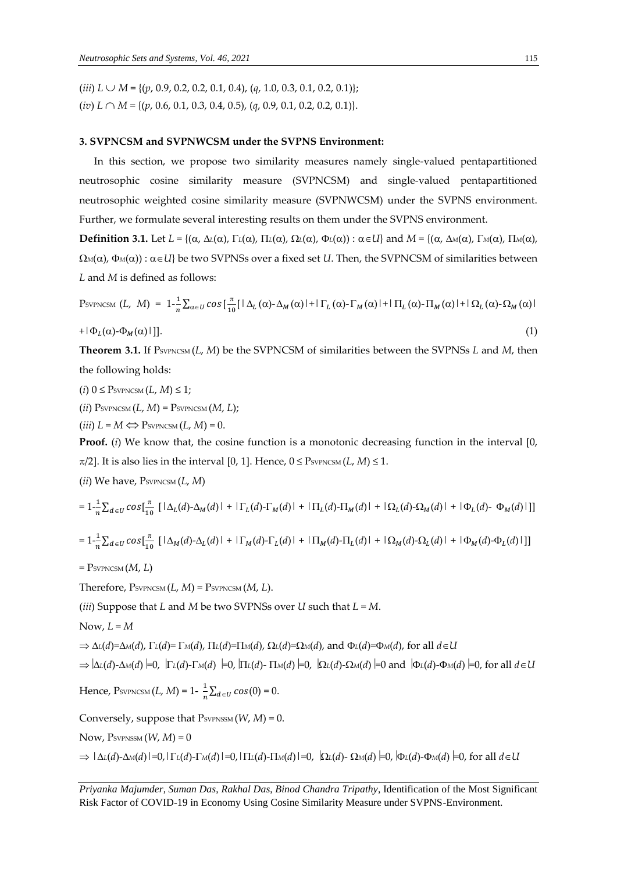$(iii) L \cup M = \{(p, 0.9, 0.2, 0.2, 0.1, 0.4), (q, 1.0, 0.3, 0.1, 0.2, 0.1)\};$ (*iv*) *L M* = {(*p*, 0.6, 0.1, 0.3, 0.4, 0.5), (*q*, 0.9, 0.1, 0.2, 0.2, 0.1)}.

#### **3. SVPNCSM and SVPNWCSM under the SVPNS Environment:**

In this section, we propose two similarity measures namely single-valued pentapartitioned neutrosophic cosine similarity measure (SVPNCSM) and single-valued pentapartitioned neutrosophic weighted cosine similarity measure (SVPNWCSM) under the SVPNS environment. Further, we formulate several interesting results on them under the SVPNS environment.

**Definition 3.1.** Let  $L = \{(\alpha, \Delta_l(\alpha), \Gamma_l(\alpha), \Pi_l(\alpha), \Omega_l(\alpha), \Phi_l(\alpha)) : \alpha \in U\}$  and  $M = \{(\alpha, \Delta_M(\alpha), \Gamma_M(\alpha), \Pi_l(\alpha), \Pi_l(\alpha), \Pi_l(\alpha), \Phi_l(\alpha), \Pi_l(\alpha), \Phi_l(\alpha), \Pi_l(\alpha), \Phi_l(\alpha)\}$  $\Omega_M(\alpha)$ ,  $\Phi_M(\alpha)$  :  $\alpha \in U$ } be two SVPNSs over a fixed set *U*. Then, the SVPNCSM of similarities between *L* and *M* is defined as follows:

$$
P_{\text{SVPNCSM}}(L, M) = 1 - \frac{1}{n} \sum_{\alpha \in U} \cos\left[\frac{\pi}{10} [\Delta_L(\alpha) - \Delta_M(\alpha)] + |\Gamma_L(\alpha) - \Gamma_M(\alpha)| + |\Pi_L(\alpha) - \Pi_M(\alpha)| + |\Omega_L(\alpha) - \Omega_M(\alpha)| \right]
$$
  
+|\Phi\_L(\alpha) - \Phi\_M(\alpha)|]. (1)

**Theorem 3.1.** If PSVPNCSM (*L*, *M*) be the SVPNCSM of similarities between the SVPNSs *L* and *M*, then the following holds:

 $(i)$   $0 \leq$  PsypNCSM  $(L, M) \leq 1$ ;

 $(iii)$  Psvpncsm $(L, M)$  = Psvpncsm $(M, L)$ ;

 $(iii) L = M \Longleftrightarrow$  PsypNCSM  $(L, M) = 0$ .

**Proof.** (*i*) We know that, the cosine function is a monotonic decreasing function in the interval [0,  $\pi/2$ ]. It is also lies in the interval [0, 1]. Hence,  $0 \leq$  PsvPNCSM (*L*, *M*)  $\leq$  1.

(*ii*) We have, PSVPNCSM (*L*, *M*)

$$
=1-\frac{1}{n}\sum_{d\in U}cos[\frac{\pi}{10}\left[\left|\Delta_L(d)-\Delta_M(d)\right|+\left|\Gamma_L(d)-\Gamma_M(d)\right|+\left|\Pi_L(d)-\Pi_M(d)\right|+\left|\Omega_L(d)-\Omega_M(d)\right|+\left|\Phi_L(d)-\Phi_M(d)\right|\right]]
$$

$$
=1-\frac{1}{n}\sum_{d\in U}cos[\frac{\pi}{10}\left[\left(\Delta_M(d)-\Delta_L(d)\right]+\left(\Gamma_M(d)-\Gamma_L(d)\right)+\left(\Pi_M(d)-\Pi_L(d)\right)+\left(\Omega_M(d)-\Omega_L(d)\right)+\left(\Phi_M(d)-\Phi_L(d)\right)\right]\right]
$$

 $=$  P<sub>SVPNCSM</sub>  $(M, L)$ 

Therefore,  $P_{\text{SVPNCSM}}(L, M) = P_{\text{SVPNCSM}}(M, L)$ .

(*iii*) Suppose that *L* and *M* be two SVPNSs over *U* such that *L* = *M*.

Now,  $L = M$ 

 $\Rightarrow$   $\Delta$ <sup>[</sup>(*d*)= $\Delta$ <sup>*M*</sup>(*d*),  $\Gamma$ <sup>[</sup>(*d*)= $\Gamma$ <sup>*M*</sup>(*d*),  $\Gamma$ <sup>[</sup>[(*d*)= $\Gamma$ <sup>*M*</sup>(*d*),  $\Omega$ <sup>[</sup>(*d*)= $\Omega$ <sup>*M*</sup>(*d*), and  $\Phi$ <sup>[</sup>(*d*)= $\Phi$ <sup>*M*</sup>(*d*), for all *d*  $\in$  *U* 

 $\Rightarrow |\Delta_L(d) - \Delta_M(d)| = 0$ ,  $|\Gamma_L(d) - \Gamma_M(d)| = 0$ ,  $|\Pi_L(d) - \Pi_M(d)| = 0$ ,  $|\Omega_L(d) - \Omega_M(d)| = 0$  and  $|\Phi_L(d) - \Phi_M(d)| = 0$ , for all  $d \in U$ 

Hence,  $\text{P}sv_{\text{PNCSM}}(L,M)$  = 1-  $\frac{1}{n}$  $\frac{1}{n}\sum_{d\in U}cos(0)=0.$ 

Conversely, suppose that  $P_{\text{SVPNSSM}}(W, M) = 0$ .

Now,  $P<sub>SVPNSSM</sub> (W, M) = 0$ 

 $\Rightarrow$   $|\Delta_L(d)-\Delta_M(d)|=0$ ,  $|\Gamma_L(d)-\Gamma_M(d)|=0$ ,  $|\Pi_L(d)-\Pi_M(d)|=0$ ,  $|\Omega_L(d)-\Omega_M(d)|=0$ ,  $|\Phi_L(d)-\Phi_M(d)|=0$ , for all  $d\in U$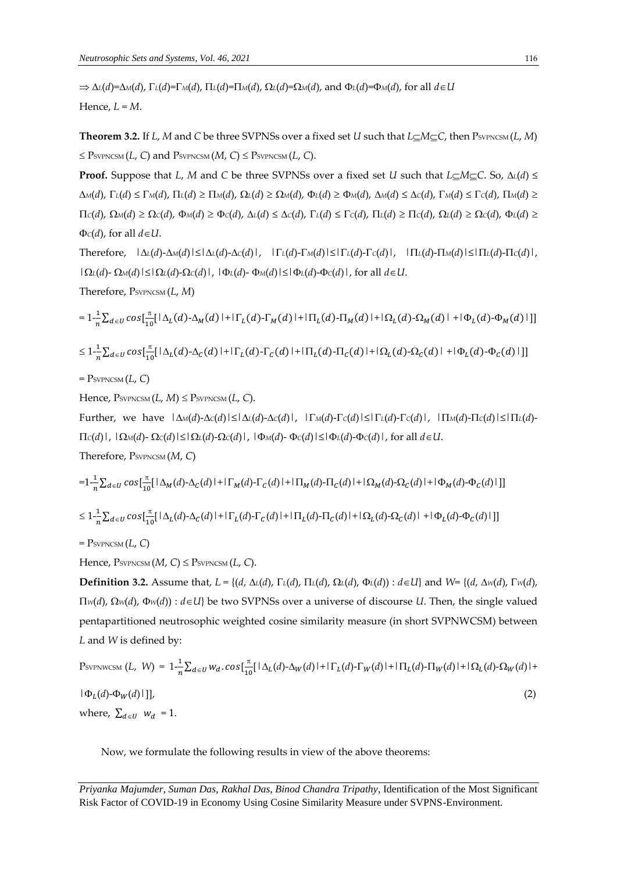$\Rightarrow$   $\Delta$ <sup>L</sup>(*d*)= $\Delta$ M(*d*),  $\Gamma$ <sup>L</sup>(*d*)= $\Gamma$ M(*d*),  $\Pi$ <sup>L</sup>(*d*)= $\Pi$ M(*d*),  $\Omega$ <sup>L</sup>(*d*)= $\Omega$ M(*d*), and  $\Phi$ <sup>L</sup>(*d*)= $\Phi$ M(*d*), for all *d*∈*U* Hence,  $L = M$ .

**Theorem 3.2.** If *L*, *M* and *C* be three SVPNSs over a fixed set *U* such that  $L \subseteq M \subseteq C$ , then  $P_{\text{SVPNCSM}}(L, M)$  $\leq$  Psvpncsm (*L*, *C*) and Psvpncsm (*M*, *C*)  $\leq$  Psvpncsm (*L*, *C*).

**Proof.** Suppose that *L*, *M* and *C* be three SVPNSs over a fixed set *U* such that *L*<sub>*C*</sub>*M*<sup>*C*</sup>*C*. So,  $\Delta$ *l*(*d*) ≤  $\Delta M(d)$ ,  $\Gamma_L(d) \leq \Gamma_M(d)$ ,  $\Pi_L(d) \geq \Pi_M(d)$ ,  $\Omega_L(d) \geq \Omega_M(d)$ ,  $\Phi_L(d) \geq \Phi_M(d)$ ,  $\Delta M(d) \leq \Delta C(d)$ ,  $\Gamma_M(d) \leq \Gamma_C(d)$ ,  $\Pi_M(d) \geq \Gamma_L(d)$  $\Pi_c(d)$ ,  $\Omega_M(d) \ge \Omega_c(d)$ ,  $\Phi_M(d) \ge \Phi_c(d)$ ,  $\Delta_L(d) \le \Delta_c(d)$ ,  $\Gamma_L(d) \le \Gamma_c(d)$ ,  $\Pi_L(d) \ge \Pi_c(d)$ ,  $\Omega_L(d) \ge \Omega_c(d)$ ,  $\Phi_L(d) \ge \Omega_c(d)$  $\Phi$ *c*(*d*), for all  $d \in U$ .

Therefore,  $|\Delta L(d) - \Delta M(d)| \le |\Delta L(d) - \Delta C(d)|$ ,  $|\Gamma L(d) - \Gamma M(d)| \le |\Gamma L(d) - \Gamma C(d)|$ ,  $|\Pi L(d) - \Pi M(d)| \le |\Pi L(d) - \Gamma C(d)|$ ,  $|Q_L(d) - Q_M(d)| \leq |Q_L(d) - Q_C(d)|$ ,  $|Q_L(d) - Q_M(d)| \leq |Q_L(d) - Q_C(d)|$ , for all  $d ∈ U$ . Therefore, PSVPNCSM (*L*, *M*)

$$
=1-\frac{1}{n}\sum_{d\in U}cos[\frac{\pi}{10}[\Delta_L(d)-\Delta_M(d)]+|\Gamma_L(d)-\Gamma_M(d)|+|\Pi_L(d)-\Pi_M(d)|+|\Omega_L(d)-\Omega_M(d)|+|\Phi_L(d)-\Phi_M(d)|]
$$
  
\n
$$
\leq 1-\frac{1}{n}\sum_{d\in U}cos[\frac{\pi}{10}[\Delta_L(d)-\Delta_C(d)]+|\Gamma_L(d)-\Gamma_C(d)|+|\Pi_L(d)-\Pi_C(d)|+|\Omega_L(d)-\Omega_C(d)|+|\Phi_L(d)-\Phi_C(d)|]
$$
  
\n
$$
= \text{PsvPNCSM}(L, C)
$$

Hence,  $P_{\text{SVPNCSM}}(L, M) \leq P_{\text{SVPNCSM}}(L, C)$ .

Further, we have  $|\Delta M(d) - \Delta C(d)| \le |\Delta L(d) - \Delta C(d)|$ ,  $|\Gamma M(d) - \Gamma C(d)| \le |\Gamma L(d) - \Gamma C(d)|$ ,  $|\Pi M(d) - \Pi C(d)| \le |\Pi L(d) - \Gamma C(d)|$ *C*(*d*)|,  $|Q_M(d) - Q_C(d)| \leq |Q_L(d) - Q_C(d)|$ ,  $|Q_M(d) - Q_C(d)| \leq |Q_L(d) - Q_C(d)|$ , for all *d*∈*U*.

Therefore, PSVPNCSM (*M*, *C*)

$$
=1-\frac{1}{n}\sum_{d\in U}cos[\frac{\pi}{10}[\Delta_M(d)-\Delta_C(d)]+|\Gamma_M(d)-\Gamma_C(d)|+|\Pi_M(d)-\Pi_C(d)|+|\Omega_M(d)-\Omega_C(d)|+|\Phi_M(d)-\Phi_C(d)|]
$$
  

$$
\leq 1-\frac{1}{n}\sum_{d\in U}cos[\frac{\pi}{10}[\Delta_L(d)-\Delta_C(d)]+|\Gamma_L(d)-\Gamma_C(d)|+|\Pi_L(d)-\Pi_C(d)|+|\Omega_L(d)-\Omega_C(d)|+|\Phi_L(d)-\Phi_C(d)|]
$$

 $=$  P<sub>SVPNCSM</sub> $(L, C)$ 

Hence,  $P_{\text{SVPNCSM}}(M, C) \leq P_{\text{SVPNCSM}}(L, C)$ .

**Definition 3.2.** Assume that, *L* = {(*d*, *L*(*d*), *L*(*d*), *L*(*d*), *L*(*d*), *L*(*d*)) : *dU*} and *W*= {(*d*, *W*(*d*), *W*(*d*),  $\Pi_{W}(d)$ ,  $\Omega_{W}(d)$ ,  $\Phi_{W}(d)$ ) :  $d \in U$ } be two SVPNSs over a universe of discourse *U*. Then, the single valued pentapartitioned neutrosophic weighted cosine similarity measure (in short SVPNWCSM) between *L* and *W* is defined by:

$$
P_{\text{SVPNWCSM}}(L, W) = 1 - \frac{1}{n} \sum_{d \in U} w_d \cdot \cos\left[\frac{\pi}{10} [\Delta_L(d) - \Delta_W(d)] + |\Gamma_L(d) - \Gamma_W(d)| + |\Pi_L(d) - \Pi_W(d)| + |\Omega_L(d) - \Omega_W(d)| + |\Omega_L(d) - \Omega_W(d)|\right]
$$
\n
$$
|\Phi_L(d) - \Phi_W(d)|] \tag{2}
$$
\n
$$
\text{where, } \sum_{d \in U} w_d = 1.
$$

Now, we formulate the following results in view of the above theorems:

*Priyanka Majumder*, *Suman Das*, *Rakhal Das*, *Binod Chandra Tripathy*, Identification of the Most Significant Risk Factor of COVID-19 in Economy Using Cosine Similarity Measure under SVPNS-Environment.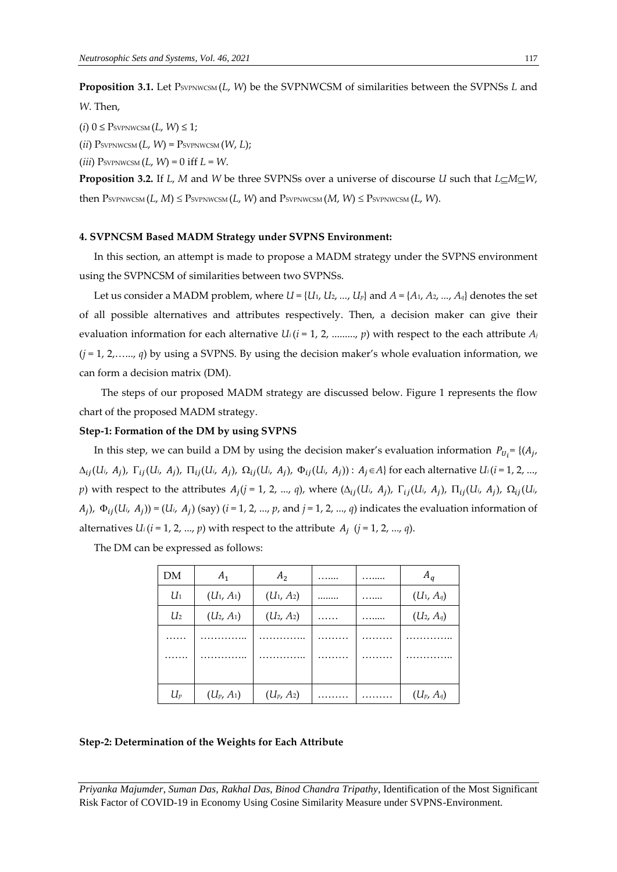**Proposition 3.1.** Let PSVPNWCSM (*L*, *W*) be the SVPNWCSM of similarities between the SVPNSs *L* and *W*. Then,

 $(i)$  0  $\leq$  PsypNWCSM  $(L, W) \leq 1$ ;

 $(iii)$  PsvpNWCSM  $(L, W)$  = PsvpNWCSM  $(W, L)$ ;

 $(iii)$  PsvPNWCSM  $(L, W) = 0$  iff  $L = W$ .

**Proposition 3.2.** If *L*, *M* and *W* be three SVPNSs over a universe of discourse *U* such that  $L \subseteq M \subseteq W$ , then  $P$ SVPNWCSM  $(L, M) \leq P$ SVPNWCSM  $(L, W)$  and  $P$ SVPNWCSM  $(M, W) \leq P$ SVPNWCSM  $(L, W)$ .

#### **4. SVPNCSM Based MADM Strategy under SVPNS Environment:**

In this section, an attempt is made to propose a MADM strategy under the SVPNS environment using the SVPNCSM of similarities between two SVPNSs.

Let us consider a MADM problem, where  $U = \{U_1, U_2, ..., U_p\}$  and  $A = \{A_1, A_2, ..., A_q\}$  denotes the set of all possible alternatives and attributes respectively. Then, a decision maker can give their evaluation information for each alternative  $U_i$  ( $i = 1, 2, \ldots, p$ ) with respect to the each attribute  $A_i$ (*j* = 1, 2,…..., *q*) by using a SVPNS. By using the decision maker's whole evaluation information, we can form a decision matrix (DM).

The steps of our proposed MADM strategy are discussed below. Figure 1 represents the flow chart of the proposed MADM strategy.

#### **Step-1: Formation of the DM by using SVPNS**

In this step, we can build a DM by using the decision maker's evaluation information  $P_{U_i}$ = {( $A_j$ ,  $\Delta_{ij}(U_i, A_j)$ ,  $\Gamma_{ij}(U_i, A_j)$ ,  $\Pi_{ij}(U_i, A_j)$ ,  $\Omega_{ij}(U_i, A_j)$ ,  $\Phi_{ij}(U_i, A_j)$ ):  $A_j \in A$  for each alternative  $U_i(i = 1, 2, ..., n)$  $p$ ) with respect to the attributes  $A_j$ ( $j = 1, 2, ..., q$ ), where ( $\Delta_{ij}(U_i, A_j)$ ,  $\Gamma_{ij}(U_i, A_j)$ ,  $\Pi_{ij}(U_i, A_j)$ ,  $\Omega_{ij}(U_i, A_j)$  $(H_j)$ ,  $\Phi_{ij}(U_i, H_j)$  = ( $U_i$ ,  $H_j$ ) (say) ( $i = 1, 2, ..., p$ , and  $j = 1, 2, ..., q$ ) indicates the evaluation information of alternatives  $U_i$  ( $i = 1, 2, ..., p$ ) with respect to the attribute  $A_j$  ( $j = 1, 2, ..., q$ ).

The DM can be expressed as follows:

| DМ             | $A_1$        | A <sub>2</sub> | . | . | $A_q$        |
|----------------|--------------|----------------|---|---|--------------|
| $U_1$          | $(U_1, A_1)$ | $(U_1, A_2)$   |   | . | $(U_1, A_q)$ |
| U <sub>2</sub> | $(U_2, A_1)$ | $(U_2, A_2)$   | . |   | $(U_2, A_9)$ |
| .              | .            | .              | . | . | .            |
| .              | .            | .              | . | . | .            |
|                |              |                |   |   |              |
| $U_p$          | $(U_p, A_1)$ | $(U_p, A_2)$   |   |   | $(U_p, A_q)$ |

#### **Step-2: Determination of the Weights for Each Attribute**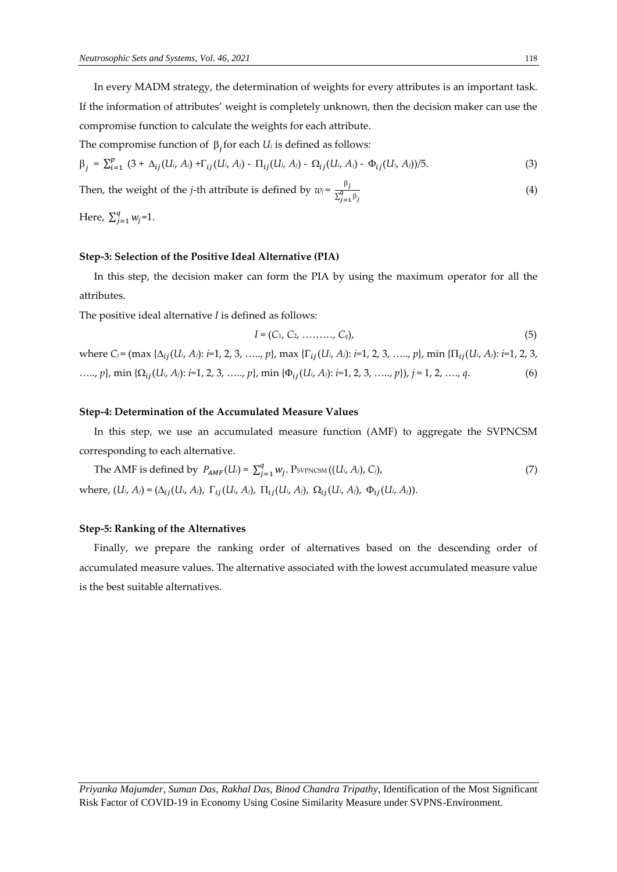In every MADM strategy, the determination of weights for every attributes is an important task. If the information of attributes' weight is completely unknown, then the decision maker can use the compromise function to calculate the weights for each attribute.

The compromise function of  $\beta_j$  for each  $U_j$  is defined as follows:

$$
\beta_j = \sum_{i=1}^p (3 + \Delta_{ij}(U_i, A_j) + \Gamma_{ij}(U_i, A_j) - \Pi_{ij}(U_i, A_j) - \Omega_{ij}(U_i, A_j) - \Phi_{ij}(U_i, A_j))/5.
$$
 (3)

Then, the weight of the *j*-th attribute is defined by  $w_j = \frac{\beta_j}{\pi q}$  $\sum_{j=1}^{q} \beta_j$ (4)

Here,  $\sum_{i=1}^{q} w_i$  $_{j=1}^{4} w_j = 1.$ 

#### **Step-3: Selection of the Positive Ideal Alternative (PIA)**

In this step, the decision maker can form the PIA by using the maximum operator for all the attributes.

The positive ideal alternative *I* is defined as follows:

$$
I = (C_1, C_2, \ldots, C_q), \tag{5}
$$

where  $C_j$  = (max { $\Delta_{ij}(U_i, A_j)$ : *i*=1, 2, 3, ....., *p*}, max { $\Gamma_{ij}(U_i, A_j)$ : *i*=1, 2, 3, ....., *p*}, min { $\Pi_{ij}(U_i, A_j)$ : *i*=1, 2, 3, ….., *p*}, min {(*Ui*, *Aj*): *i=*1, 2, 3, ….., *p*}, min {(*Ui*, *Aj*): *i=*1, 2, 3, ….., *p*}), *j* = 1, 2, …., *q*. (6)

#### **Step-4: Determination of the Accumulated Measure Values**

In this step, we use an accumulated measure function (AMF) to aggregate the SVPNCSM corresponding to each alternative.

The AMF is defined by 
$$
P_{AMF}(U_i) = \sum_{j=1}^{q} w_j
$$
.  $P_{SVPNCSM}((U_i, A_j), C_j)$ ,  
where,  $(U_i, A_j) = (\Delta_{ij}(U_i, A_j), \Gamma_{ij}(U_i, A_j), \Pi_{ij}(U_i, A_j), \Omega_{ij}(U_i, A_j), \Phi_{ij}(U_i, A_j)).$  (7)

#### **Step-5: Ranking of the Alternatives**

Finally, we prepare the ranking order of alternatives based on the descending order of accumulated measure values. The alternative associated with the lowest accumulated measure value is the best suitable alternatives.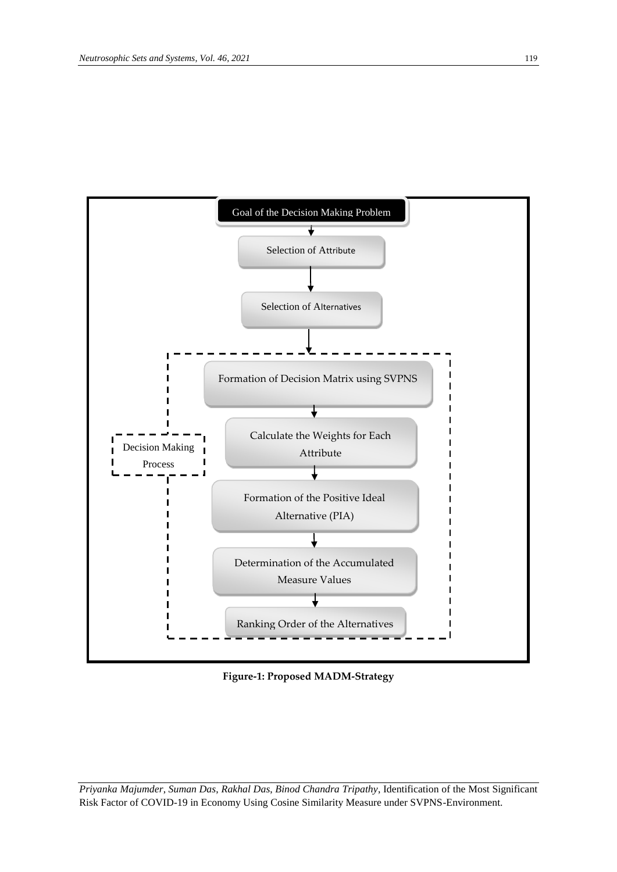

**Figure-1: Proposed MADM-Strategy**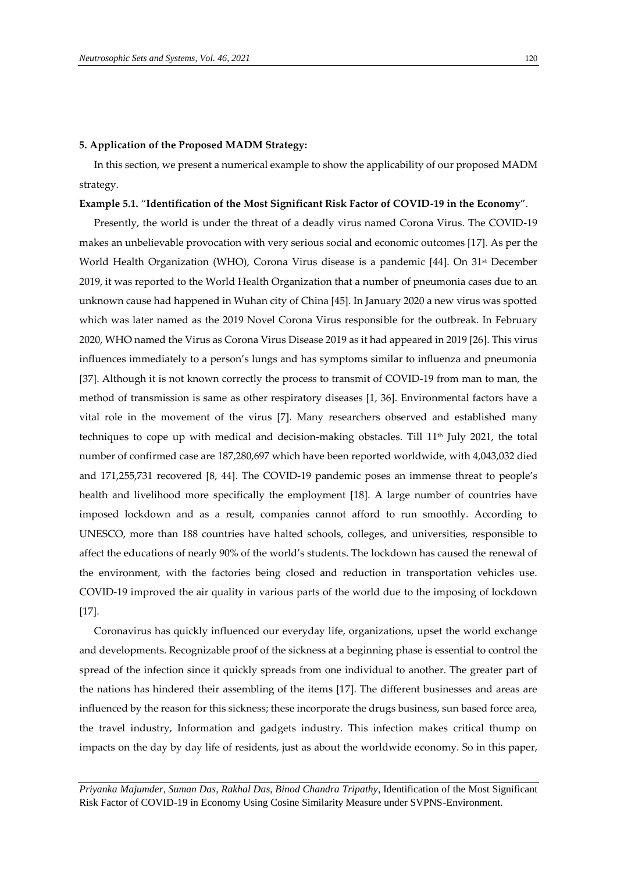#### **5. Application of the Proposed MADM Strategy:**

In this section, we present a numerical example to show the applicability of our proposed MADM strategy.

#### **Example 5.1.** "**Identification of the Most Significant Risk Factor of COVID-19 in the Economy**".

Presently, the world is under the threat of a deadly virus named Corona Virus. The COVID-19 makes an unbelievable provocation with very serious social and economic outcomes [17]. As per the World Health Organization (WHO), Corona Virus disease is a pandemic [44]. On 31<sup>st</sup> December 2019, it was reported to the World Health Organization that a number of pneumonia cases due to an unknown cause had happened in Wuhan city of China [45]. In January 2020 a new virus was spotted which was later named as the 2019 Novel Corona Virus responsible for the outbreak. In February 2020, WHO named the Virus as Corona Virus Disease 2019 as it had appeared in 2019 [26]. This virus influences immediately to a person's lungs and has symptoms similar to influenza and pneumonia [37]. Although it is not known correctly the process to transmit of COVID-19 from man to man, the method of transmission is same as other respiratory diseases [1, 36]. Environmental factors have a vital role in the movement of the virus [7]. Many researchers observed and established many techniques to cope up with medical and decision-making obstacles. Till  $11<sup>th</sup>$  July 2021, the total number of confirmed case are 187,280,697 which have been reported worldwide, with 4,043,032 died and 171,255,731 recovered [8, 44]. The COVID-19 pandemic poses an immense threat to people's health and livelihood more specifically the employment [18]. A large number of countries have imposed lockdown and as a result, companies cannot afford to run smoothly. According to UNESCO, more than 188 countries have halted schools, colleges, and universities, responsible to affect the educations of nearly 90% of the world's students. The lockdown has caused the renewal of the environment, with the factories being closed and reduction in transportation vehicles use. COVID-19 improved the air quality in various parts of the world due to the imposing of lockdown [17].

Coronavirus has quickly influenced our everyday life, organizations, upset the world exchange and developments. Recognizable proof of the sickness at a beginning phase is essential to control the spread of the infection since it quickly spreads from one individual to another. The greater part of the nations has hindered their assembling of the items [17]. The different businesses and areas are influenced by the reason for this sickness; these incorporate the drugs business, sun based force area, the travel industry, Information and gadgets industry. This infection makes critical thump on impacts on the day by day life of residents, just as about the worldwide economy. So in this paper,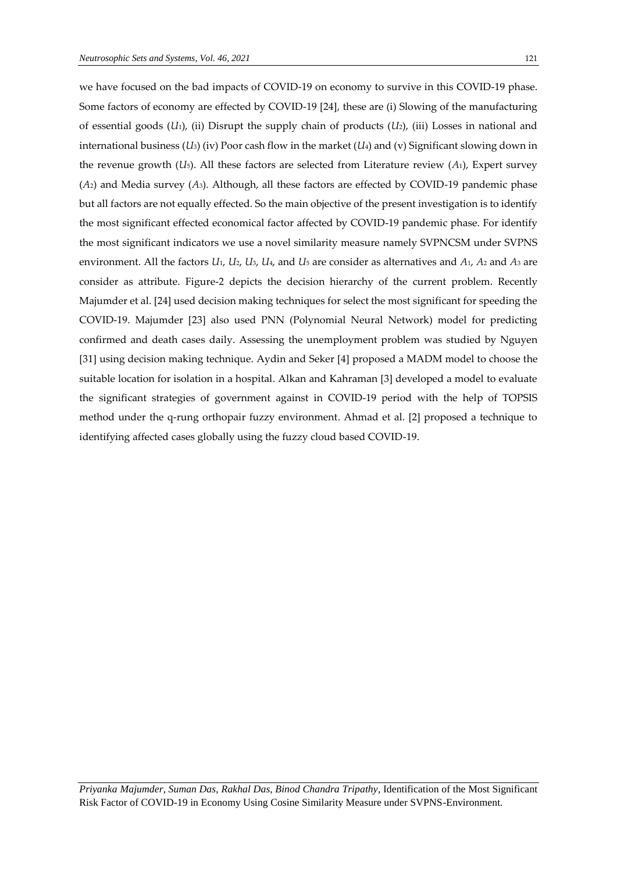we have focused on the bad impacts of COVID-19 on economy to survive in this COVID-19 phase. Some factors of economy are effected by COVID-19 [24], these are (i) Slowing of the manufacturing of essential goods (*U*1), (ii) Disrupt the supply chain of products (*U*2), (iii) Losses in national and international business (*U*3) (iv) Poor cash flow in the market (*U*4) and (v) Significant slowing down in the revenue growth (*U*5). All these factors are selected from Literature review (*A*1), Expert survey (*A*2) and Media survey (*A*3). Although, all these factors are effected by COVID-19 pandemic phase but all factors are not equally effected. So the main objective of the present investigation is to identify the most significant effected economical factor affected by COVID-19 pandemic phase. For identify the most significant indicators we use a novel similarity measure namely SVPNCSM under SVPNS environment. All the factors *U*1, *U*2, *U*3, *U*4, and *U*<sup>5</sup> are consider as alternatives and *A*1, *A*<sup>2</sup> and *A*<sup>3</sup> are consider as attribute. Figure-2 depicts the decision hierarchy of the current problem. Recently Majumder et al. [24] used decision making techniques for select the most significant for speeding the COVID-19. Majumder [23] also used PNN (Polynomial Neural Network) model for predicting confirmed and death cases daily. [Assessing the unemployment problem](https://www.koreascience.or.kr/article/JAKO202034651879103.page) was studied by Nguyen [31] using decision making technique. Aydin and Seker [4] proposed a MADM model to choose the suitable location for isolation in a hospital. Alkan and Kahraman [3] developed a model to evaluate the significant strategies of government against in COVID-19 period with the help of TOPSIS method under the q-rung orthopair fuzzy environment. Ahmad et al. [2] proposed a technique to identifying affected cases globally using the fuzzy cloud based COVID-19.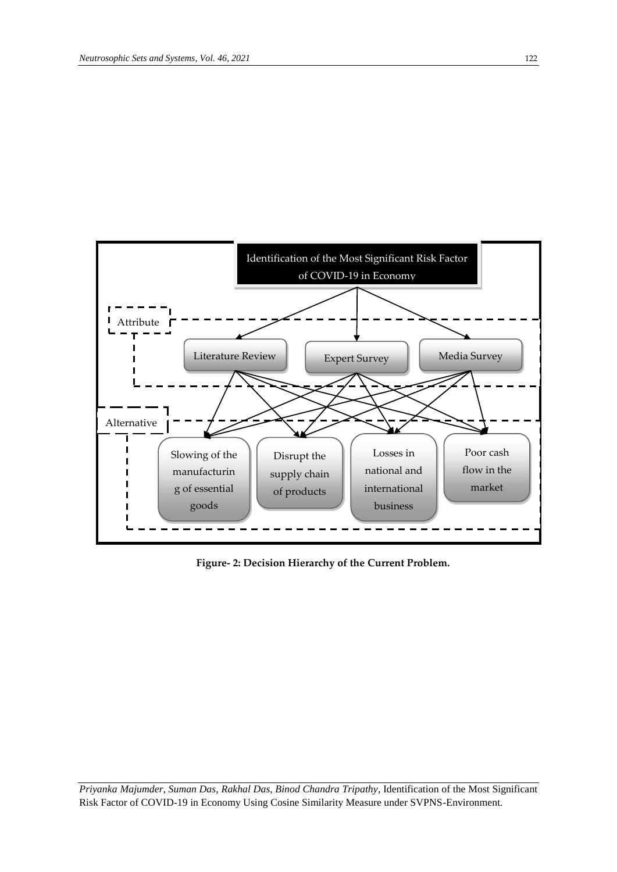

**Figure- 2: Decision Hierarchy of the Current Problem.**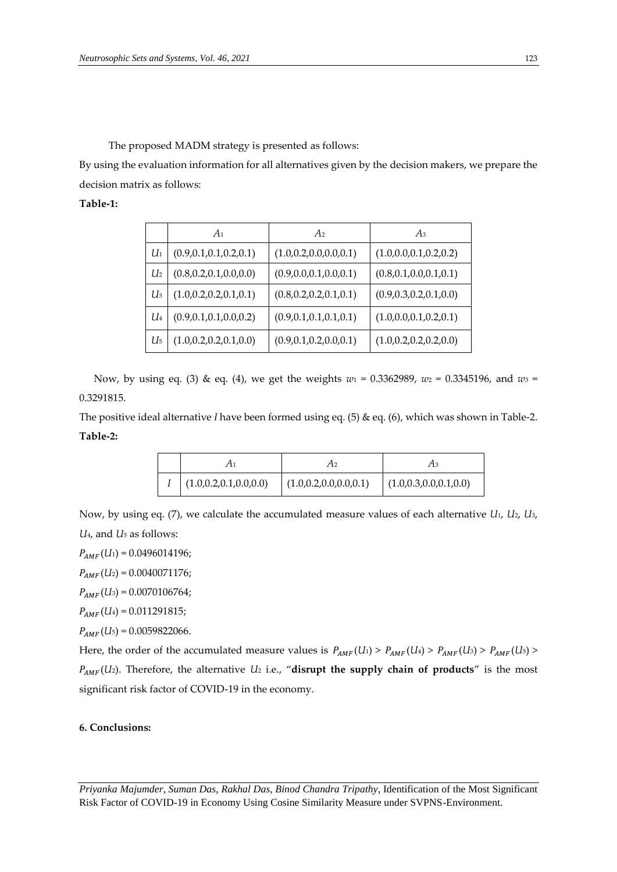The proposed MADM strategy is presented as follows:

By using the evaluation information for all alternatives given by the decision makers, we prepare the decision matrix as follows:

#### **Table-1:**

|                | A <sub>1</sub>            | A <sub>2</sub>            | $A_3$                     |
|----------------|---------------------------|---------------------------|---------------------------|
| $U_1$          | (0.9, 0.1, 0.1, 0.2, 0.1) | (1.0, 0.2, 0.0, 0.0, 0.1) | (1.0, 0.0, 0.1, 0.2, 0.2) |
| $U_2$          | (0.8, 0.2, 0.1, 0.0, 0.0) | (0.9, 0.0, 0.1, 0.0, 0.1) | (0.8, 0.1, 0.0, 0.1, 0.1) |
| $U_3$          | (1.0, 0.2, 0.2, 0.1, 0.1) | (0.8, 0.2, 0.2, 0.1, 0.1) | (0.9, 0.3, 0.2, 0.1, 0.0) |
| $U_4$          | (0.9, 0.1, 0.1, 0.0, 0.2) | (0.9, 0.1, 0.1, 0.1, 0.1) | (1.0, 0.0, 0.1, 0.2, 0.1) |
| U <sub>5</sub> | (1.0, 0.2, 0.2, 0.1, 0.0) | (0.9, 0.1, 0.2, 0.0, 0.1) | (1.0, 0.2, 0.2, 0.2, 0.0) |

Now, by using eq. (3) & eq. (4), we get the weights *w*<sup>1</sup> = 0.3362989, *w*<sup>2</sup> = 0.3345196, and *w*<sup>3</sup> = 0.3291815.

The positive ideal alternative *I* have been formed using eq. (5) & eq. (6), which was shown in Table-2. **Table-2:**

|                           |                           | Aз                        |
|---------------------------|---------------------------|---------------------------|
| (1.0, 0.2, 0.1, 0.0, 0.0) | (1.0, 0.2, 0.0, 0.0, 0.1) | (1.0, 0.3, 0.0, 0.1, 0.0) |

Now, by using eq. (7), we calculate the accumulated measure values of each alternative *U*1, *U*2, *U*3, *U*4, and *U*<sup>5</sup> as follows:

 $P_{AMF}(U_1) = 0.0496014196;$ 

 $P_{AMF}(U_2) = 0.0040071176;$ 

 $P_{AMF}(U_3) = 0.0070106764;$ 

 $P_{AMF}(U_4) = 0.011291815;$ 

 $P_{AMF}(U_5) = 0.0059822066.$ 

Here, the order of the accumulated measure values is  $P_{AMF}(U_1) > P_{AMF}(U_4) > P_{AMF}(U_3) > P_{AMF}(U_5)$ (*U*2). Therefore, the alternative *U*<sup>2</sup> i.e., "**disrupt the supply chain of products**" is the most significant risk factor of COVID-19 in the economy.

#### **6. Conclusions:**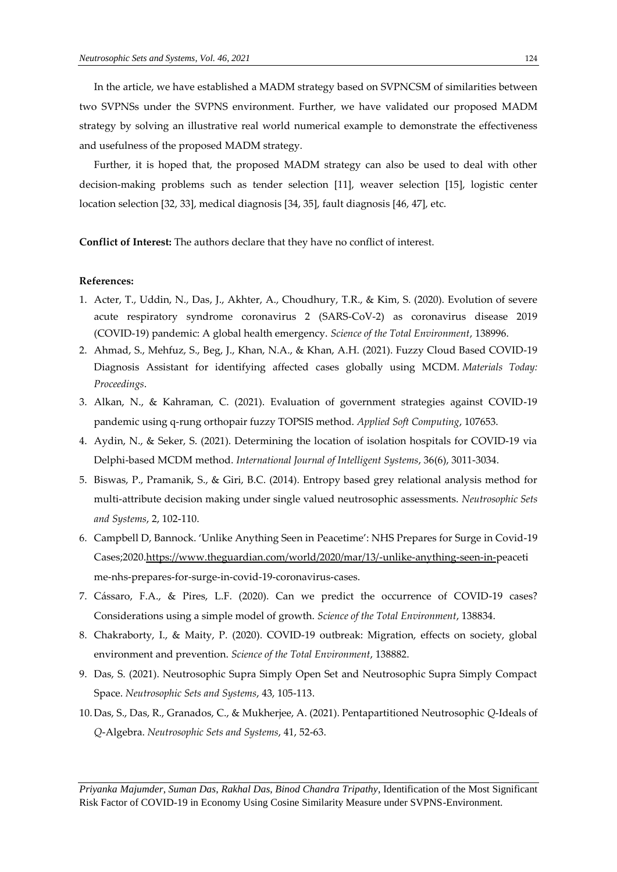In the article, we have established a MADM strategy based on SVPNCSM of similarities between two SVPNSs under the SVPNS environment. Further, we have validated our proposed MADM strategy by solving an illustrative real world numerical example to demonstrate the effectiveness and usefulness of the proposed MADM strategy.

Further, it is hoped that, the proposed MADM strategy can also be used to deal with other decision-making problems such as tender selection [11], weaver selection [15], logistic center location selection [32, 33], medical diagnosis [34, 35], fault diagnosis [46, 47], etc.

**Conflict of Interest:** The authors declare that they have no conflict of interest.

#### **References:**

- 1. Acter, T., Uddin, N., Das, J., Akhter, A., Choudhury, T.R., & Kim, S. (2020). Evolution of severe acute respiratory syndrome coronavirus 2 (SARS-CoV-2) as coronavirus disease 2019 (COVID-19) pandemic: A global health emergency. *Science of the Total Environment*, 138996.
- 2. Ahmad, S., Mehfuz, S., Beg, J., Khan, N.A., & Khan, A.H. (2021). Fuzzy Cloud Based COVID-19 Diagnosis Assistant for identifying affected cases globally using MCDM. *Materials Today: Proceedings*.
- 3. Alkan, N., & Kahraman, C. (2021). Evaluation of government strategies against COVID-19 pandemic using q-rung orthopair fuzzy TOPSIS method. *Applied Soft Computing*, 107653.
- 4. Aydin, N., & Seker, S. (2021). Determining the location of isolation hospitals for COVID-19 via Delphi‐based MCDM method. *International Journal of Intelligent Systems*, 36(6), 3011-3034.
- 5. Biswas, P., Pramanik, S., & Giri, B.C. (2014). Entropy based grey relational analysis method for multi-attribute decision making under single valued neutrosophic assessments. *Neutrosophic Sets and Systems*, 2, 102-110.
- 6. Campbell D, Bannock. 'Unlike Anything Seen in Peacetime': NHS Prepares for Surge in Covid-19 Cases;2020[.https://www.theguardian.com/world/2020/mar/13/-unlike-anything-seen-in-p](https://www.theguardian.com/world/2020/mar/13/-unlike-anything-seen-in-)eaceti me-nhs-prepares-for-surge-in-covid-19-coronavirus-cases.
- 7. Cássaro, F.A., & Pires, L.F. (2020). Can we predict the occurrence of COVID-19 cases? Considerations using a simple model of growth. *Science of the Total Environment*, 138834.
- 8. Chakraborty, I., & Maity, P. (2020). COVID-19 outbreak: Migration, effects on society, global environment and prevention. *Science of the Total Environment*, 138882.
- 9. Das, S. (2021). Neutrosophic Supra Simply Open Set and Neutrosophic Supra Simply Compact Space. *Neutrosophic Sets and Systems*, 43, 105-113.
- 10. Das, S., Das, R., Granados, C., & Mukherjee, A. (2021). Pentapartitioned Neutrosophic *Q*-Ideals of *Q*-Algebra. *Neutrosophic Sets and Systems*, 41, 52-63.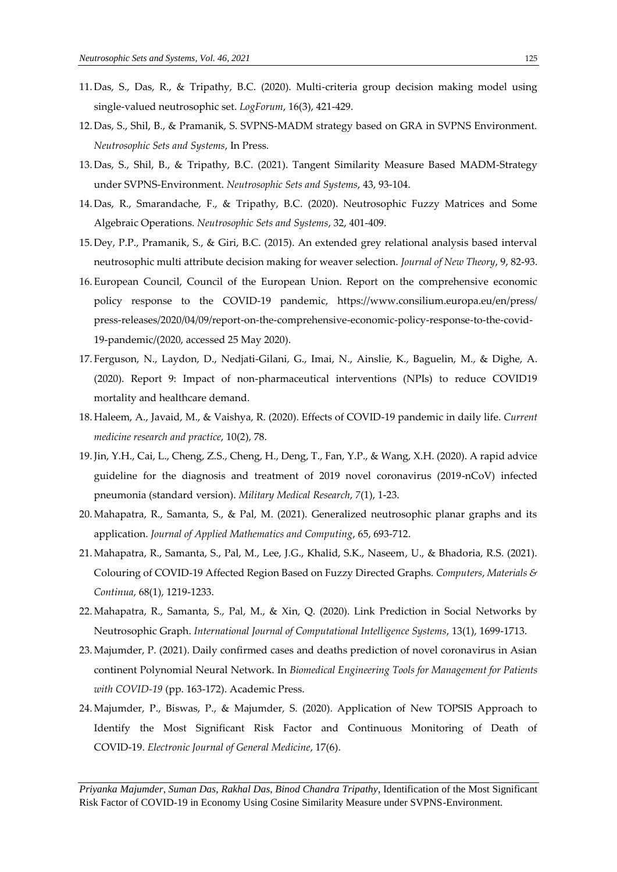- 11. Das, S., Das, R., & Tripathy, B.C. (2020). Multi-criteria group decision making model using single-valued neutrosophic set. *LogForum*, 16(3), 421-429.
- 12. Das, S., Shil, B., & Pramanik, S. SVPNS-MADM strategy based on GRA in SVPNS Environment. *Neutrosophic Sets and Systems*, In Press.
- 13. Das, S., Shil, B., & Tripathy, B.C. (2021). Tangent Similarity Measure Based MADM-Strategy under SVPNS-Environment. *Neutrosophic Sets and Systems*, 43, 93-104.
- 14. Das, R., Smarandache, F., & Tripathy, B.C. (2020). Neutrosophic Fuzzy Matrices and Some Algebraic Operations. *Neutrosophic Sets and Systems*, 32, 401-409.
- 15. Dey, P.P., Pramanik, S., & Giri, B.C. (2015). An extended grey relational analysis based interval neutrosophic multi attribute decision making for weaver selection. *Journal of New Theory*, 9, 82-93.
- 16. European Council, Council of the European Union. Report on the comprehensive economic policy response to the COVID-19 pandemic, [https://www.consilium.europa.eu/en/press/](https://www.consilium.europa.eu/en/press/%20press-releases/2020/04/09/report-)  [press-releases/2020/04/09/report-o](https://www.consilium.europa.eu/en/press/%20press-releases/2020/04/09/report-)n-the-comprehensive-economic-policy-response-to-the-covid-19-pandemic/(2020, accessed 25 May 2020).
- 17. Ferguson, N., Laydon, D., Nedjati-Gilani, G., Imai, N., Ainslie, K., Baguelin, M., & Dighe, A. (2020). Report 9: Impact of non-pharmaceutical interventions (NPIs) to reduce COVID19 mortality and healthcare demand.
- 18. Haleem, A., Javaid, M., & Vaishya, R. (2020). Effects of COVID-19 pandemic in daily life. *Current medicine research and practice*, 10(2), 78.
- 19.Jin, Y.H., Cai, L., Cheng, Z.S., Cheng, H., Deng, T., Fan, Y.P., & Wang, X.H. (2020). A rapid advice guideline for the diagnosis and treatment of 2019 novel coronavirus (2019-nCoV) infected pneumonia (standard version). *Military Medical Research*, *7*(1), 1-23.
- 20. Mahapatra, R., Samanta, S., & Pal, M. (2021). Generalized neutrosophic planar graphs and its application. *Journal of Applied Mathematics and Computing*, 65, 693-712.
- 21. Mahapatra, R., Samanta, S., Pal, M., Lee, J.G., Khalid, S.K., Naseem, U., & Bhadoria, R.S. (2021). Colouring of COVID-19 Affected Region Based on Fuzzy Directed Graphs. *Computers*, *Materials & Continua*, 68(1), 1219-1233.
- 22. Mahapatra, R., Samanta, S., Pal, M., & Xin, Q. (2020). Link Prediction in Social Networks by Neutrosophic Graph. *International Journal of Computational Intelligence Systems*, 13(1), 1699-1713.
- 23. Majumder, P. (2021). Daily confirmed cases and deaths prediction of novel coronavirus in Asian continent Polynomial Neural Network. In *Biomedical Engineering Tools for Management for Patients with COVID-19* (pp. 163-172). Academic Press.
- 24. Majumder, P., Biswas, P., & Majumder, S. (2020). Application of New TOPSIS Approach to Identify the Most Significant Risk Factor and Continuous Monitoring of Death of COVID-19. *Electronic Journal of General Medicine*, 17(6).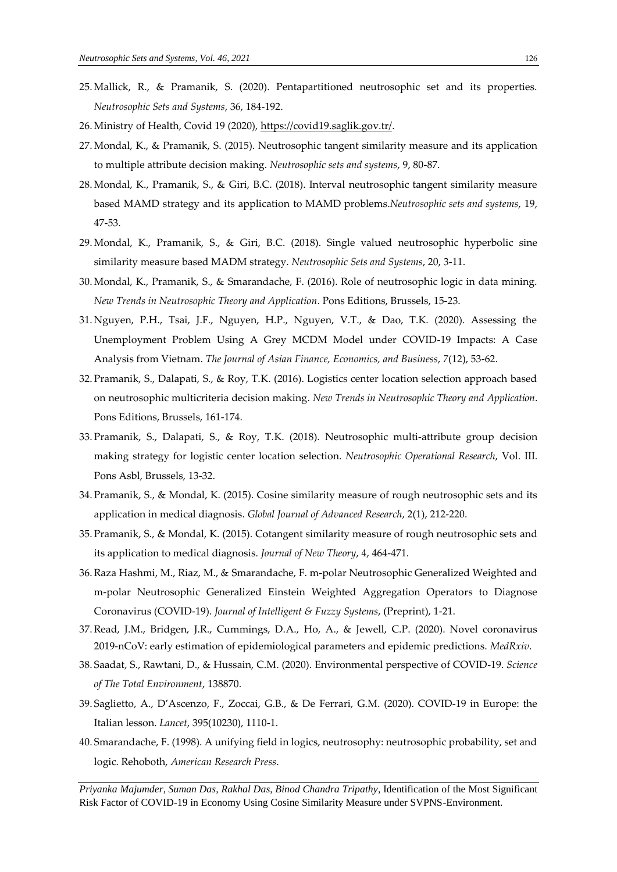- 25. Mallick, R., & Pramanik, S. (2020). Pentapartitioned neutrosophic set and its properties. *Neutrosophic Sets and Systems*, 36, 184-192.
- 26. Ministry of Health, Covid 19 (2020)[, https://covid19.saglik.gov.tr/.](https://covid19.saglik.gov.tr/)
- 27. Mondal, K., & Pramanik, S. (2015). Neutrosophic tangent similarity measure and its application to multiple attribute decision making. *Neutrosophic sets and systems*, 9, 80-87.
- 28. Mondal, K., Pramanik, S., & Giri, B.C. (2018). Interval neutrosophic tangent similarity measure based MAMD strategy and its application to MAMD problems.*Neutrosophic sets and systems*, 19, 47-53.
- 29. Mondal, K., Pramanik, S., & Giri, B.C. (2018). Single valued neutrosophic hyperbolic sine similarity measure based MADM strategy. *Neutrosophic Sets and Systems*, 20, 3-11.
- 30. Mondal, K., Pramanik, S., & Smarandache, F. (2016). Role of neutrosophic logic in data mining. *New Trends in Neutrosophic Theory and Application*. Pons Editions, Brussels, 15-23.
- 31. Nguyen, P.H., Tsai, J.F., Nguyen, H.P., Nguyen, V.T., & Dao, T.K. (2020). Assessing the Unemployment Problem Using A Grey MCDM Model under COVID-19 Impacts: A Case Analysis from Vietnam. *The Journal of Asian Finance, Economics, and Business*, *7*(12), 53-62.
- 32. Pramanik, S., Dalapati, S., & Roy, T.K. (2016). Logistics center location selection approach based on neutrosophic multicriteria decision making. *New Trends in Neutrosophic Theory and Application*. Pons Editions, Brussels, 161-174.
- 33. Pramanik, S., Dalapati, S., & Roy, T.K. (2018). Neutrosophic multi-attribute group decision making strategy for logistic center location selection. *Neutrosophic Operational Research*, Vol. III. Pons Asbl, Brussels, 13-32.
- 34. Pramanik, S., & Mondal, K. (2015). Cosine similarity measure of rough neutrosophic sets and its application in medical diagnosis. *Global Journal of Advanced Research*, 2(1), 212-220.
- 35. Pramanik, S., & Mondal, K. (2015). Cotangent similarity measure of rough neutrosophic sets and its application to medical diagnosis. *Journal of New Theory*, 4, 464-471.
- 36.Raza Hashmi, M., Riaz, M., & Smarandache, F. m-polar Neutrosophic Generalized Weighted and m-polar Neutrosophic Generalized Einstein Weighted Aggregation Operators to Diagnose Coronavirus (COVID-19). *Journal of Intelligent & Fuzzy Systems*, (Preprint), 1-21.
- 37.Read, J.M., Bridgen, J.R., Cummings, D.A., Ho, A., & Jewell, C.P. (2020). Novel coronavirus 2019-nCoV: early estimation of epidemiological parameters and epidemic predictions. *MedRxiv*.
- 38. Saadat, S., Rawtani, D., & Hussain, C.M. (2020). Environmental perspective of COVID-19. *Science of The Total Environment*, 138870.
- 39. Saglietto, A., D'Ascenzo, F., Zoccai, G.B., & De Ferrari, G.M. (2020). COVID-19 in Europe: the Italian lesson. *Lancet*, 395(10230), 1110-1.
- 40. Smarandache, F. (1998). A unifying field in logics, neutrosophy: neutrosophic probability, set and logic. Rehoboth, *American Research Press*.

*Priyanka Majumder*, *Suman Das*, *Rakhal Das*, *Binod Chandra Tripathy*, Identification of the Most Significant Risk Factor of COVID-19 in Economy Using Cosine Similarity Measure under SVPNS-Environment.